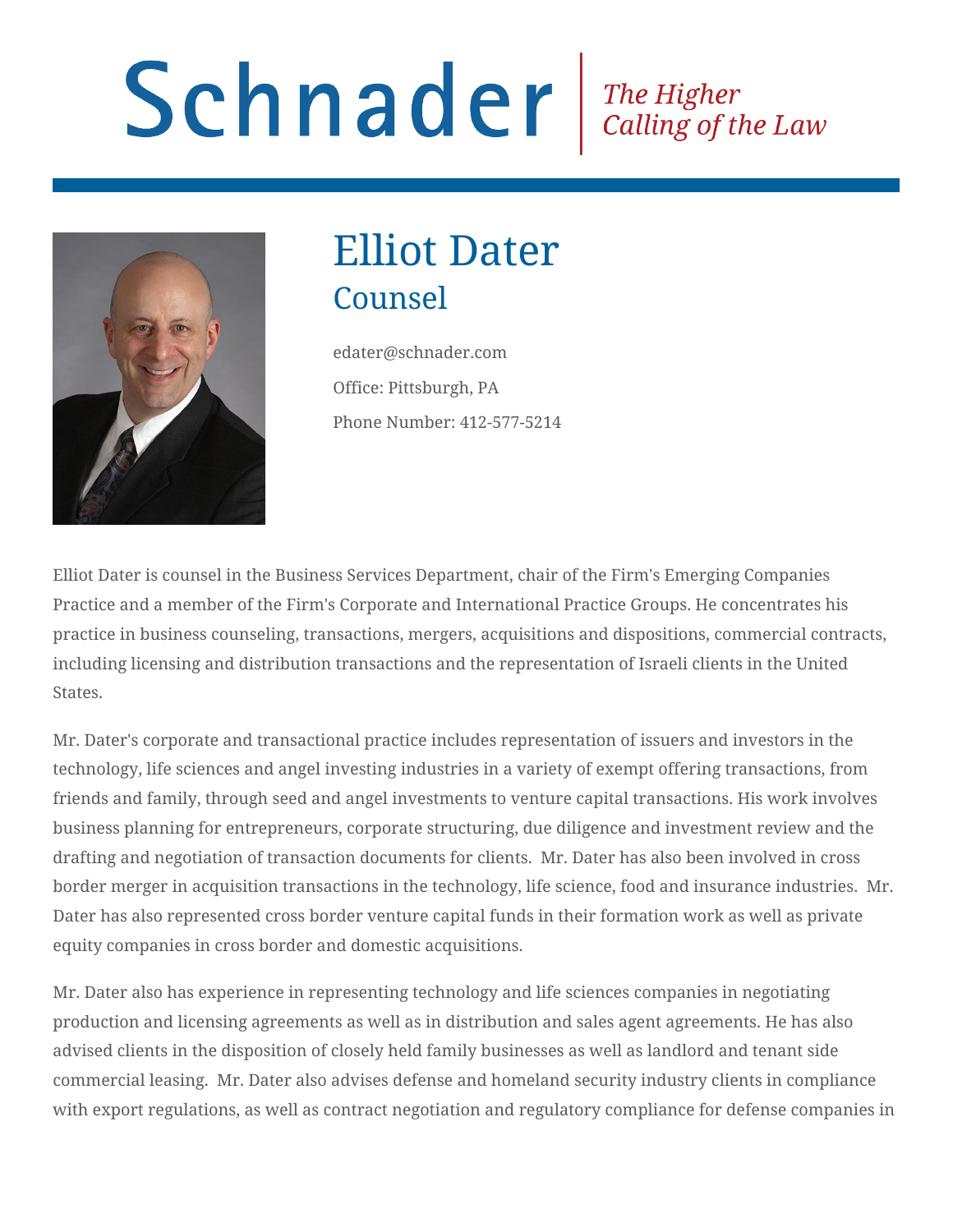# Schnader Fine Higher Calling of the Law



# Elliot Dater **Counsel**

edater@schnader.com Office: Pittsburgh, PA Phone Number: 412-577-5214

Elliot Dater is counsel in the Business Services Department, chair of the Firm's Emerging Companies Practice and a member of the Firm's Corporate and International Practice Groups. He concentrates his practice in business counseling, transactions, mergers, acquisitions and dispositions, commercial contracts, including licensing and distribution transactions and the representation of Israeli clients in the United States.

Mr. Dater's corporate and transactional practice includes representation of issuers and investors in the technology, life sciences and angel investing industries in a variety of exempt offering transactions, from friends and family, through seed and angel investments to venture capital transactions. His work involves business planning for entrepreneurs, corporate structuring, due diligence and investment review and the drafting and negotiation of transaction documents for clients. Mr. Dater has also been involved in cross border merger in acquisition transactions in the technology, life science, food and insurance industries. Mr. Dater has also represented cross border venture capital funds in their formation work as well as private equity companies in cross border and domestic acquisitions.

Mr. Dater also has experience in representing technology and life sciences companies in negotiating production and licensing agreements as well as in distribution and sales agent agreements. He has also advised clients in the disposition of closely held family businesses as well as landlord and tenant side commercial leasing. Mr. Dater also advises defense and homeland security industry clients in compliance with export regulations, as well as contract negotiation and regulatory compliance for defense companies in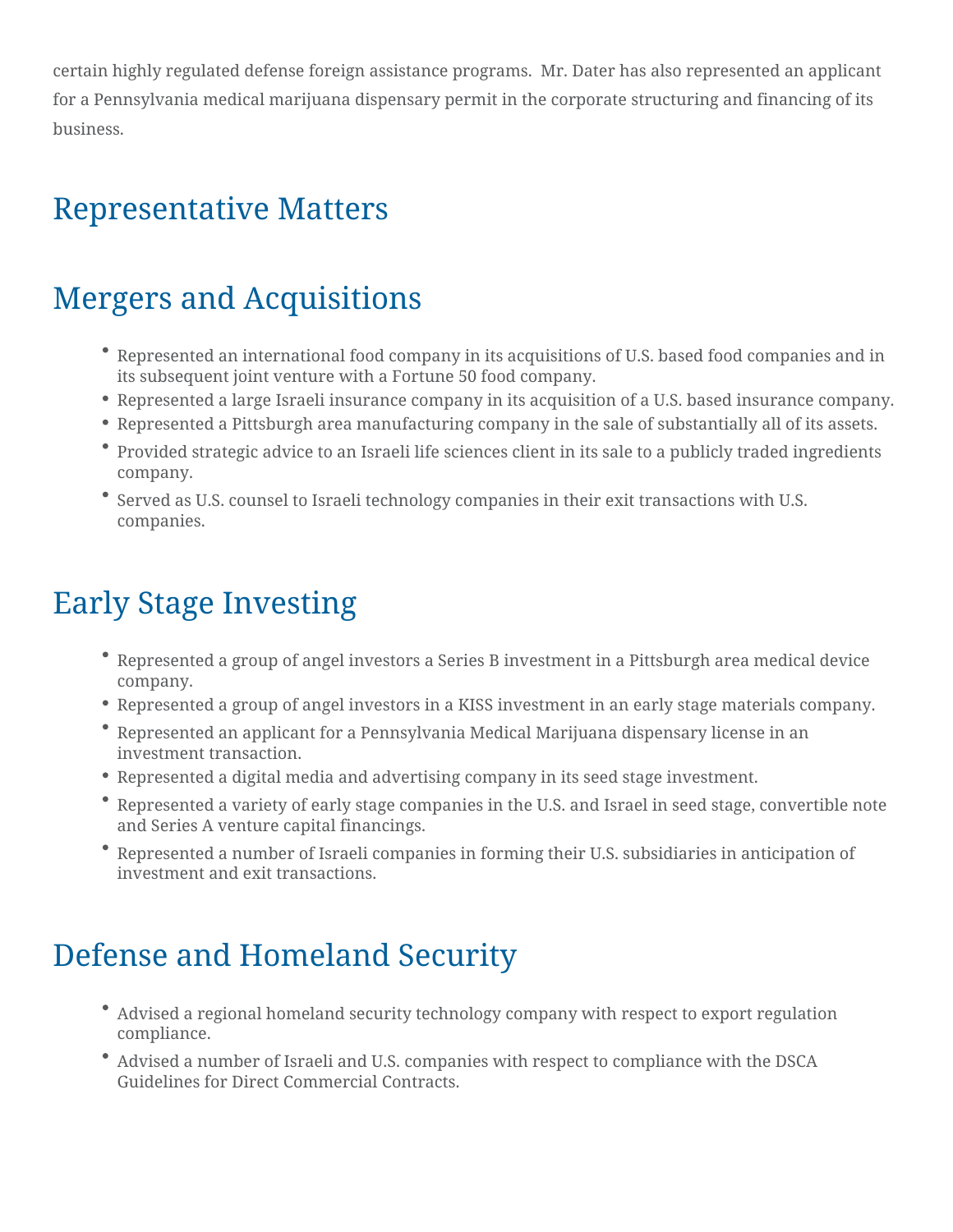certain highly regulated defense foreign assistance programs. Mr. Dater has also represented an applicant for a Pennsylvania medical marijuana dispensary permit in the corporate structuring and financing of its business.

#### Representative Matters

#### Mergers and Acquisitions

- Represented an international food company in its acquisitions of U.S. based food companies and in its subsequent joint venture with a Fortune 50 food company.
- Represented a large Israeli insurance company in its acquisition of a U.S. based insurance company.
- Represented a Pittsburgh area manufacturing company in the sale of substantially all of its assets.
- Provided strategic advice to an Israeli life sciences client in its sale to a publicly traded ingredients company.
- Served as U.S. counsel to Israeli technology companies in their exit transactions with U.S. companies.

#### Early Stage Investing

- Represented a group of angel investors a Series B investment in a Pittsburgh area medical device company.
- Represented a group of angel investors in a KISS investment in an early stage materials company.
- Represented an applicant for a Pennsylvania Medical Marijuana dispensary license in an investment transaction.
- Represented a digital media and advertising company in its seed stage investment.
- Represented a variety of early stage companies in the U.S. and Israel in seed stage, convertible note and Series A venture capital financings.
- Represented a number of Israeli companies in forming their U.S. subsidiaries in anticipation of investment and exit transactions.

#### Defense and Homeland Security

- Advised a regional homeland security technology company with respect to export regulation compliance.
- Advised a number of Israeli and U.S. companies with respect to compliance with the DSCA Guidelines for Direct Commercial Contracts.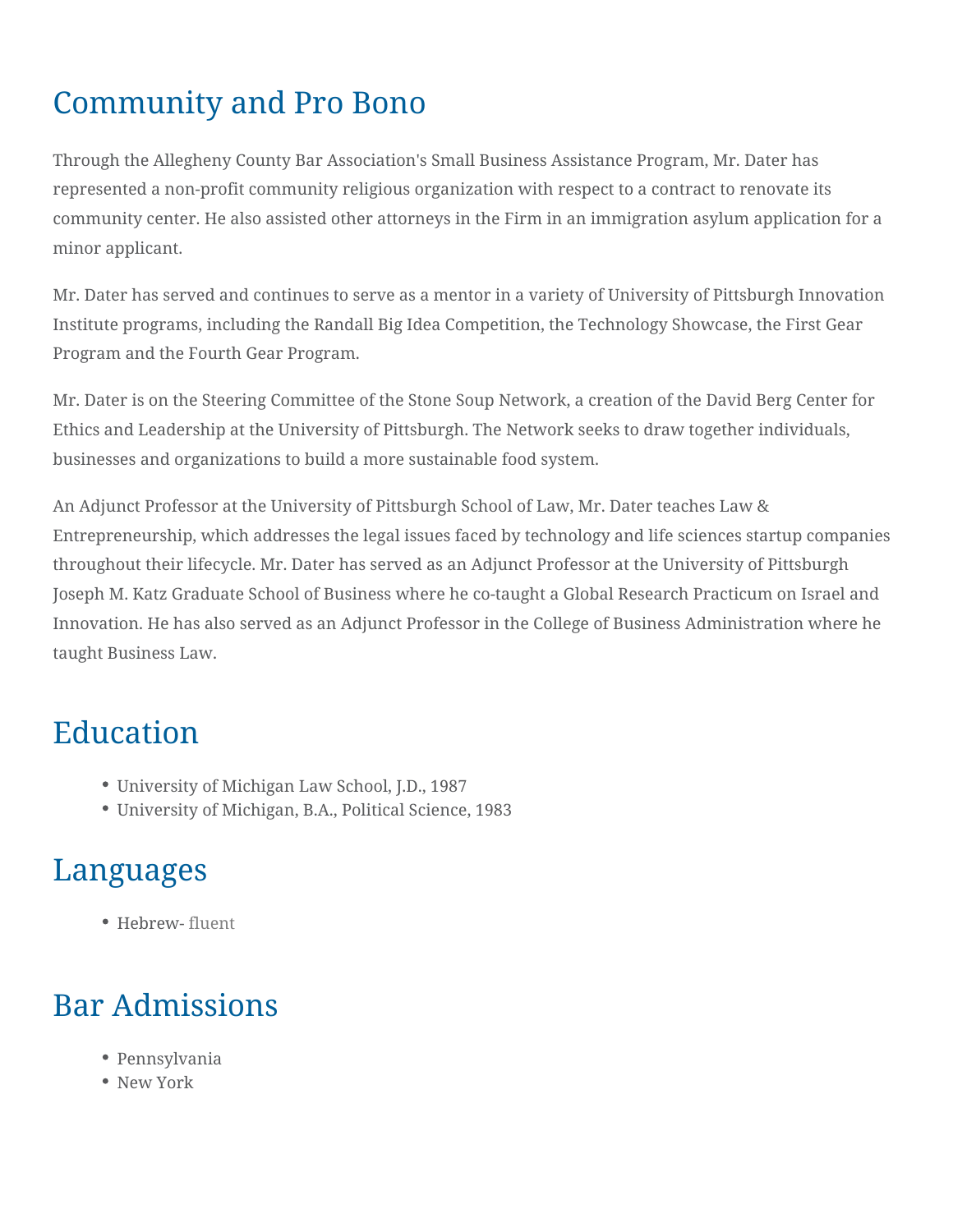### Community and Pro Bono

Through the Allegheny County Bar Association's Small Business Assistance Program, Mr. Dater has represented a non-profit community religious organization with respect to a contract to renovate its community center. He also assisted other attorneys in the Firm in an immigration asylum application for a minor applicant.

Mr. Dater has served and continues to serve as a mentor in a variety of University of Pittsburgh Innovation Institute programs, including the Randall Big Idea Competition, the Technology Showcase, the First Gear Program and the Fourth Gear Program.

Mr. Dater is on the Steering Committee of the Stone Soup Network, a creation of the David Berg Center for Ethics and Leadership at the University of Pittsburgh. The Network seeks to draw together individuals, businesses and organizations to build a more sustainable food system.

An Adjunct Professor at the University of Pittsburgh School of Law, Mr. Dater teaches Law & Entrepreneurship, which addresses the legal issues faced by technology and life sciences startup companies throughout their lifecycle. Mr. Dater has served as an Adjunct Professor at the University of Pittsburgh Joseph M. Katz Graduate School of Business where he co-taught a Global Research Practicum on Israel and Innovation. He has also served as an Adjunct Professor in the College of Business Administration where he taught Business Law.

#### Education

- University of Michigan Law School, J.D., 1987
- University of Michigan, B.A., Political Science, 1983

#### Languages

Hebrew- fluent

## Bar Admissions

- Pennsylvania
- New York